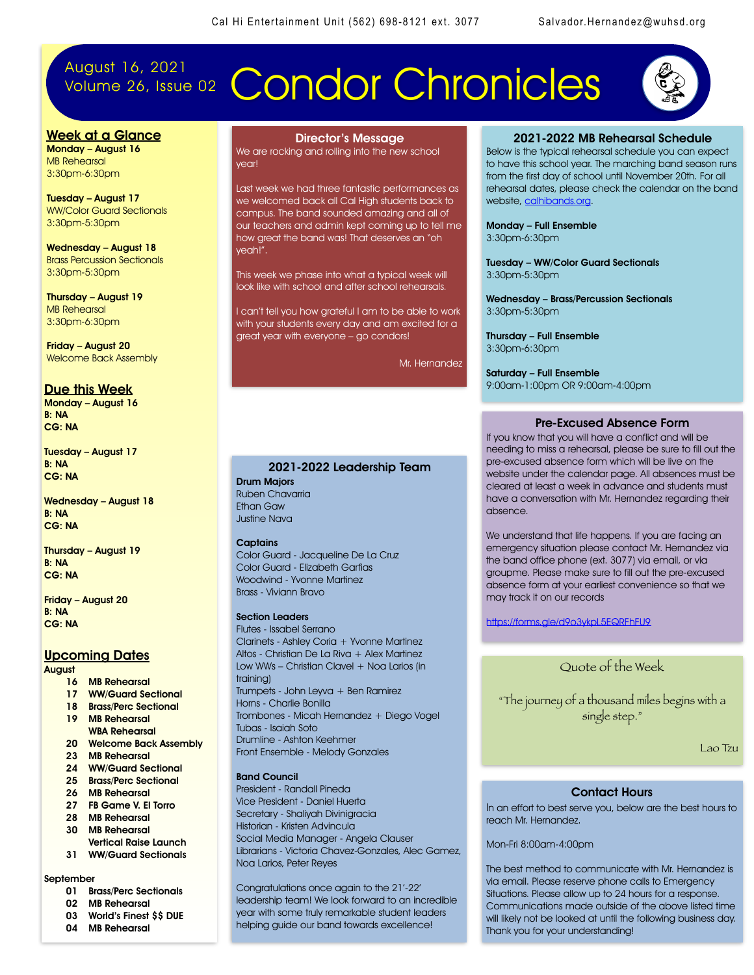## August 16, 2021

# Volume 26, Issue 02 Condor Chronicles



### Week at a Glance Monday – August 16

MB Rehearsal 3:30pm-6:30pm

Tuesday – August 17 WW/Color Guard Sectionals 3:30pm-5:30pm

Wednesday – August 18 Brass Percussion Sectionals 3:30pm-5:30pm

Thursday – August 19 MB Rehearsal 3:30pm-6:30pm

Friday – August 20 Welcome Back Assembly

### Due this Week

Monday – August 16 B: NA CG: NA

Tuesday – August 17 B: NA CG: NA

Wednesday – August 18 B: NA CG: NA

Thursday – August 19 B: NA CG: NA

Friday – August 20 B: NA CG: NA

### Upcoming Dates

August

- 16 MB Rehearsal
- 17 WW/Guard Sectional 18 Brass/Perc Sectional
- 19 MB Rehearsal
- WBA Rehearsal
- 20 Welcome Back Assembly
- 23 MB Rehearsal
- 24 WW/Guard Sectional 25 Brass/Perc Sectional
- 
- 26 MB Rehearsal
- 27 FB Game V. El Torro 28 MB Rehearsal
- 30 MB Rehearsal
- Vertical Raise Launch
- 31 WW/Guard Sectionals

### September

- 01 Brass/Perc Sectionals
- 02 MB Rehearsal
- 03 World's Finest \$\$ DUE
- 04 MB Rehearsal

Director's Message We are rocking and rolling into the new school year!

Last week we had three fantastic performances as we welcomed back all Cal High students back to campus. The band sounded amazing and all of our teachers and admin kept coming up to tell me how great the band was! That deserves an "oh yeah!".

This week we phase into what a typical week will look like with school and after school rehearsals.

I can't tell you how grateful I am to be able to work with your students every day and am excited for a great year with everyone – go condors!

Mr. Hernandez

### 2021-2022 Leadership Team

Drum Majors Ruben Chavarria Ethan Gaw Justine Nava

#### **Captains**

Color Guard - Jacqueline De La Cruz Color Guard - Elizabeth Garfias Woodwind - Yvonne Martinez Brass - Viviann Bravo

### Section Leaders

Flutes - Issabel Serrano Clarinets - Ashley Coria + Yvonne Martinez Altos - Christian De La Riva + Alex Martinez Low WWs - Christian Clavel + Noa Larios (in training) Trumpets - John Leyva + Ben Ramirez Horns - Charlie Bonilla Trombones - Micah Hernandez + Diego Vogel Tubas - Isaiah Soto Drumline - Ashton Keehmer Front Ensemble - Melody Gonzales

### Band Council

President - Randall Pineda Vice President - Daniel Huerta Secretary - Shaliyah Divinigracia Historian - Kristen Advincula Social Media Manager - Angela Clauser Librarians - Victoria Chavez-Gonzales, Alec Gamez, Noa Larios, Peter Reyes

Congratulations once again to the 21'-22' leadership team! We look forward to an incredible year with some truly remarkable student leaders helping guide our band towards excellence!

### 2021-2022 MB Rehearsal Schedule

Below is the typical rehearsal schedule you can expect to have this school year. The marching band season runs from the first day of school until November 20th. For all rehearsal dates, please check the calendar on the band website, [calhibands.org.](http://calhibands.org)

Monday – Full Ensemble 3:30pm-6:30pm

Tuesday – WW/Color Guard Sectionals 3:30pm-5:30pm

Wednesday – Brass/Percussion Sectionals 3:30pm-5:30pm

Thursday – Full Ensemble 3:30pm-6:30pm

Saturday – Full Ensemble 9:00am-1:00pm OR 9:00am-4:00pm

### Pre-Excused Absence Form

If you know that you will have a conflict and will be needing to miss a rehearsal, please be sure to fill out the pre-excused absence form which will be live on the website under the calendar page. All absences must be cleared at least a week in advance and students must have a conversation with Mr. Hernandez regarding their absence.

We understand that life happens. If you are facing an emergency situation please contact Mr. Hernandez via the band office phone (ext. 3077) via email, or via groupme. Please make sure to fill out the pre-excused absence form at your earliest convenience so that we may track it on our records

<https://forms.gle/d9o3ykpL5EQRFhFU9>

### Quote of the Week

"The journey of a thousand miles begins with a single step."

Lao Tzu

### Contact Hours

In an effort to best serve you, below are the best hours to reach Mr. Hernandez.

Mon-Fri 8:00am-4:00pm

The best method to communicate with Mr. Hernandez is via email. Please reserve phone calls to Emergency Situations. Please allow up to 24 hours for a response. Communications made outside of the above listed time will likely not be looked at until the following business day. Thank you for your understanding!